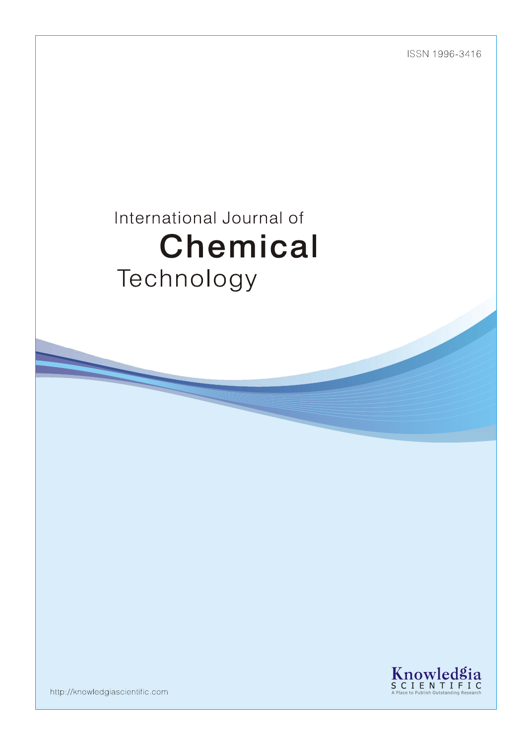ISSN 1996-3416

# International Journal of Chemical Technology



http://knowledgiascientific.com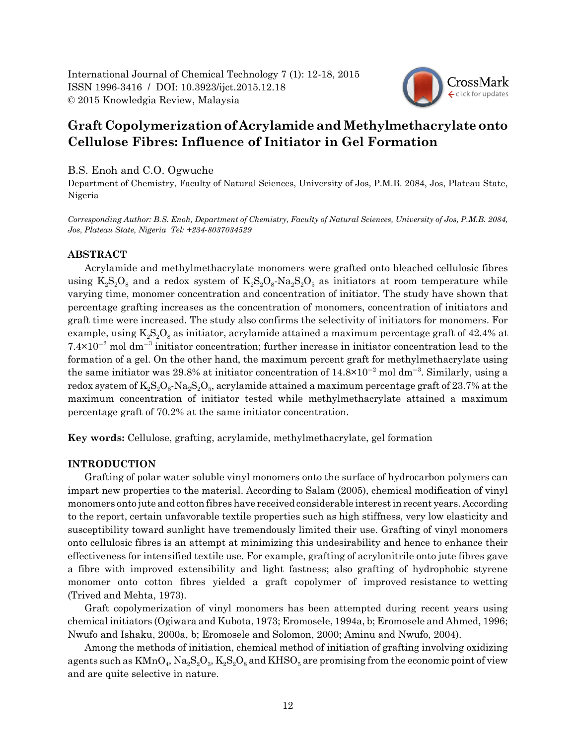

# **Graft Copolymerization of Acrylamide and Methylmethacrylate onto Cellulose Fibres: Influence of Initiator in Gel Formation**

# B.S. Enoh and C.O. Ogwuche

Department of Chemistry, Faculty of Natural Sciences, University of Jos, P.M.B. 2084, Jos, Plateau State, Nigeria

*Corresponding Author: B.S. Enoh, Department of Chemistry, Faculty of Natural Sciences, University of Jos, P.M.B. 2084, Jos, Plateau State, Nigeria Tel: +234-8037034529*

# **ABSTRACT**

Acrylamide and methylmethacrylate monomers were grafted onto bleached cellulosic fibres using  $K_2S_2O_8$  and a redox system of  $K_2S_2O_8$ -Na<sub>2</sub> $S_2O_5$  as initiators at room temperature while varying time, monomer concentration and concentration of initiator. The study have shown that percentage grafting increases as the concentration of monomers, concentration of initiators and graft time were increased. The study also confirms the selectivity of initiators for monomers. For example, using  $K_2S_2O_8$  as initiator, acrylamide attained a maximum percentage graft of 42.4% at  $7.4 \times 10^{-2}$  mol dm<sup>-3</sup> initiator concentration; further increase in initiator concentration lead to the formation of a gel. On the other hand, the maximum percent graft for methylmethacrylate using the same initiator was 29.8% at initiator concentration of  $14.8 \times 10^{-2}$  mol dm<sup>-3</sup>. Similarly, using a redox system of  $K_2S_2O_8$ -Na<sub>2</sub>S<sub>2</sub>O<sub>5</sub>, acrylamide attained a maximum percentage graft of 23.7% at the maximum concentration of initiator tested while methylmethacrylate attained a maximum percentage graft of 70.2% at the same initiator concentration.

**Key words:** Cellulose, grafting, acrylamide, methylmethacrylate, gel formation

# **INTRODUCTION**

Grafting of polar water soluble vinyl monomers onto the surface of hydrocarbon polymers can impart new properties to the material. According to Salam (2005), chemical modification of vinyl monomers onto jute and cotton fibres have received considerable interest in recent years. According to the report, certain unfavorable textile properties such as high stiffness, very low elasticity and susceptibility toward sunlight have tremendously limited their use. Grafting of vinyl monomers onto cellulosic fibres is an attempt at minimizing this undesirability and hence to enhance their effectiveness for intensified textile use. For example, grafting of acrylonitrile onto jute fibres gave a fibre with improved extensibility and light fastness; also grafting of hydrophobic styrene monomer onto cotton fibres yielded a graft copolymer of improved resistance to wetting (Trived and Mehta, 1973).

Graft copolymerization of vinyl monomers has been attempted during recent years using chemical initiators (Ogiwara and Kubota, 1973; Eromosele, 1994a, b; Eromosele and Ahmed, 1996; Nwufo and Ishaku, 2000a, b; Eromosele and Solomon, 2000; Aminu and Nwufo, 2004).

Among the methods of initiation, chemical method of initiation of grafting involving oxidizing agents such as  $KMnO_4$ ,  $Na_2S_2O_3$ ,  $K_2S_2O_8$  and  $KHSO_5$  are promising from the economic point of view and are quite selective in nature.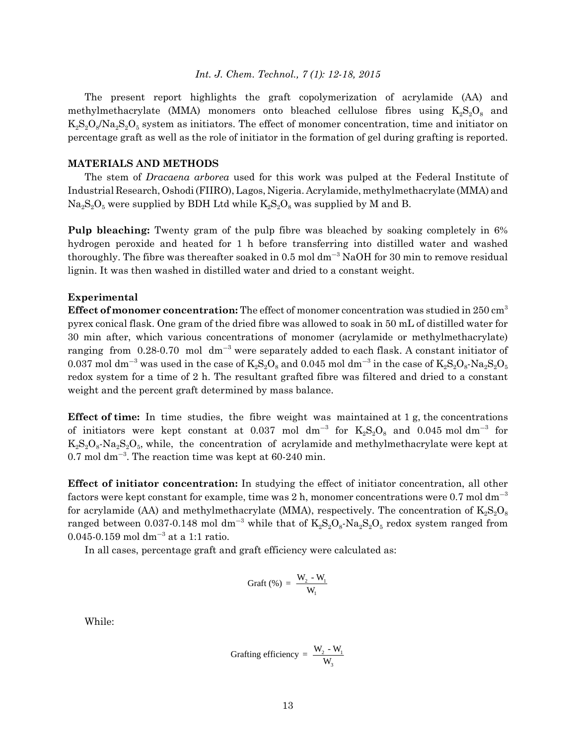#### *Int. J. Chem. Technol., 7 (1): 12-18, 2015*

The present report highlights the graft copolymerization of acrylamide (AA) and methylmethacrylate (MMA) monomers onto bleached cellulose fibres using  $K_{2S}S_{2S}$  and  $K_2S_2O_8/Na_2S_2O_5$  system as initiators. The effect of monomer concentration, time and initiator on percentage graft as well as the role of initiator in the formation of gel during grafting is reported.

#### **MATERIALS AND METHODS**

The stem of *Dracaena arborea* used for this work was pulped at the Federal Institute of Industrial Research, Oshodi (FIIRO), Lagos, Nigeria. Acrylamide, methylmethacrylate (MMA) and  $Na<sub>2</sub>S<sub>2</sub>O<sub>5</sub>$  were supplied by BDH Ltd while  $K<sub>2</sub>S<sub>2</sub>O<sub>8</sub>$  was supplied by M and B.

**Pulp bleaching:** Twenty gram of the pulp fibre was bleached by soaking completely in 6% hydrogen peroxide and heated for 1 h before transferring into distilled water and washed thoroughly. The fibre was thereafter soaked in 0.5 mol  $dm^{-3}$  NaOH for 30 min to remove residual lignin. It was then washed in distilled water and dried to a constant weight.

## **Experimental**

**Effect of monomer concentration:** The effect of monomer concentration was studied in 250 cm<sup>3</sup> pyrex conical flask. One gram of the dried fibre was allowed to soak in 50 mL of distilled water for 30 min after, which various concentrations of monomer (acrylamide or methylmethacrylate) ranging from 0.28-0.70 mol  $dm^{-3}$  were separately added to each flask. A constant initiator of 0.037 mol dm $^{-3}$  was used in the case of  $\rm K_2S_2O_8$  and 0.045 mol dm $^{-3}$  in the case of  $\rm K_2S_2O_8\text{-}Na_2S_2O_5$ redox system for a time of 2 h. The resultant grafted fibre was filtered and dried to a constant weight and the percent graft determined by mass balance.

**Effect of time:** In time studies, the fibre weight was maintained at 1 g, the concentrations of initiators were kept constant at 0.037 mol  $\rm{d}m^{-3}$  for  $\rm{K_2S_2O_8}$  and 0.045 mol $\rm{d}m^{-3}$  for  $K_2S_2O_8$ -Na<sub>2</sub>S<sub>2</sub>O<sub>5</sub>, while, the concentration of acrylamide and methylmethacrylate were kept at  $0.7$  mol dm<sup>-3</sup>. The reaction time was kept at  $60-240$  min.

**Effect of initiator concentration:** In studying the effect of initiator concentration, all other factors were kept constant for example, time was 2 h, monomer concentrations were 0.7 mol  $dm^{-3}$ for acrylamide (AA) and methylmethacrylate (MMA), respectively. The concentration of  $K_2S_2O_8$ ranged between 0.037-0.148 mol dm<sup>-3</sup> while that of  $\rm K_2S_2O_8\text{-}Na_2S_2O_5$  redox system ranged from  $0.045 - 0.159$  mol dm<sup>-3</sup> at a 1:1 ratio.

In all cases, percentage graft and graft efficiency were calculated as:

$$
Graft\left(\% \right) = \frac{W_{2} - W_{1}}{W_{1}}
$$

While:

Graffing efficiency = 
$$
\frac{W_2 - W_1}{W_3}
$$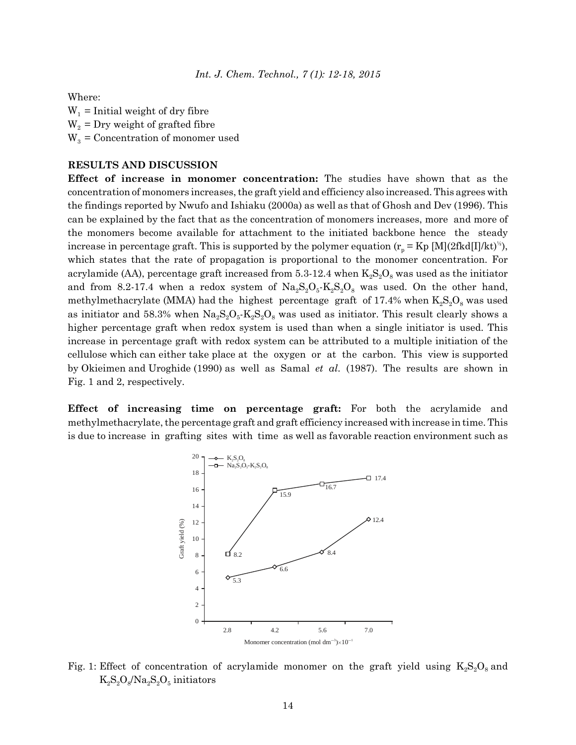Where:

 $W_1$  = Initial weight of dry fibre  $W_2$  = Dry weight of grafted fibre  $W_3$  = Concentration of monomer used

# **RESULTS AND DISCUSSION**

**Effect of increase in monomer concentration:** The studies have shown that as the concentration of monomers increases, the graft yield and efficiency also increased. This agrees with the findings reported by Nwufo and Ishiaku (2000a) as well as that of Ghosh and Dev (1996). This can be explained by the fact that as the concentration of monomers increases, more and more of the monomers become available for attachment to the initiated backbone hence the steady increase in percentage graft. This is supported by the polymer equation  $(r_p = Kp [M](2fkd)[I]/kt)^{2})$ , which states that the rate of propagation is proportional to the monomer concentration. For acrylamide (AA), percentage graft increased from 5.3-12.4 when  $K_2S_2O_8$  was used as the initiator and from 8.2-17.4 when a redox system of  $Na_2S_2O_5-K_2S_2O_8$  was used. On the other hand, methylmethacrylate (MMA) had the highest percentage graft of 17.4% when  $K_2S_2O_8$  was used as initiator and 58.3% when  $\text{Na}_2\text{S}_2\text{O}_5\text{-K}_2\text{S}_2\text{O}_8$  was used as initiator. This result clearly shows a higher percentage graft when redox system is used than when a single initiator is used. This increase in percentage graft with redox system can be attributed to a multiple initiation of the cellulose which can either take place at the oxygen or at the carbon. This view is supported by Okieimen and Uroghide (1990) as well as Samal *et al*. (1987). The results are shown in Fig. 1 and 2, respectively.

**Effect of increasing time on percentage graft:** For both the acrylamide and methylmethacrylate, the percentage graft and graft efficiency increased with increase in time. This is due to increase in grafting sites with time as well as favorable reaction environment such as



Fig. 1: Effect of concentration of acrylamide monomer on the graft yield using  $K_2S_2O_8$  and  $K_2S_2O_8/Na_2S_2O_5$  initiators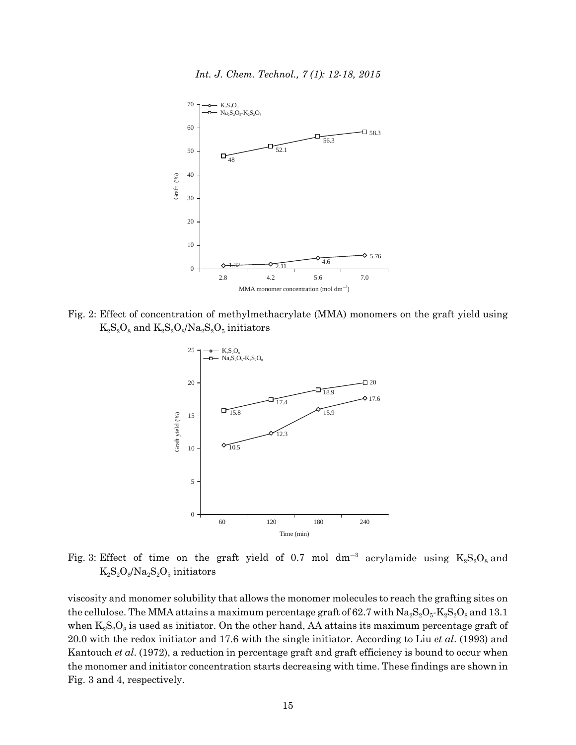*Int. J. Chem. Technol., 7 (1): 12-18, 2015*



Fig. 2: Effect of concentration of methylmethacrylate (MMA) monomers on the graft yield using  $K_2S_2O_8$  and  $K_2S_2O_8/Na_2S_2O_5$  initiators



Fig. 3: Effect of time on the graft yield of 0.7 mol  $dm^{-3}$  acrylamide using  $K_2S_2O_8$  and  $K_2S_2O_8/Na_2S_2O_5$  initiators

viscosity and monomer solubility that allows the monomer molecules to reach the grafting sites on the cellulose. The MMA attains a maximum percentage graft of 62.7 with  $\text{Na}_2\text{S}_2\text{O}_5\text{-K}_2\text{S}_2\text{O}_8$  and 13.1 when  $K_2S_2O_8$  is used as initiator. On the other hand, AA attains its maximum percentage graft of 20.0 with the redox initiator and 17.6 with the single initiator. According to Liu *et al*. (1993) and Kantouch *et al*. (1972), a reduction in percentage graft and graft efficiency is bound to occur when the monomer and initiator concentration starts decreasing with time. These findings are shown in Fig. 3 and 4, respectively.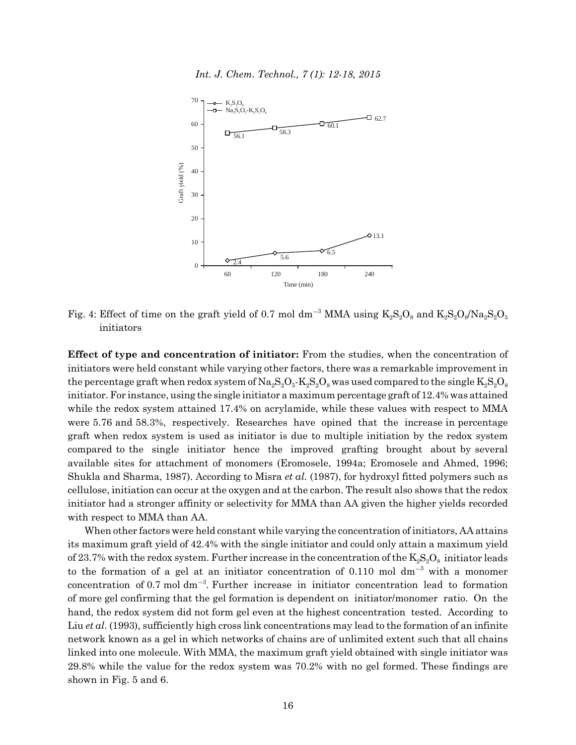*Int. J. Chem. Technol., 7 (1): 12-18, 2015*



Fig. 4: Effect of time on the graft yield of 0.7 mol dm<sup>-3</sup> MMA using  $K_2S_2O_8$  and  $K_2S_2O_8/Na_2S_2O_5$ initiators

**Effect of type and concentration of initiator:** From the studies, when the concentration of initiators were held constant while varying other factors, there was a remarkable improvement in the percentage graft when redox system of  $\text{Na}_2\text{S}_2\text{O}_5\text{-K}_2\text{S}_2\text{O}_8$  was used compared to the single  $\text{K}_2\text{S}_2\text{O}_8$ initiator. For instance, using the single initiator a maximum percentage graft of 12.4% was attained while the redox system attained 17.4% on acrylamide, while these values with respect to MMA were 5.76 and 58.3%, respectively. Researches have opined that the increase in percentage graft when redox system is used as initiator is due to multiple initiation by the redox system compared to the single initiator hence the improved grafting brought about by several available sites for attachment of monomers (Eromosele, 1994a; Eromosele and Ahmed, 1996; Shukla and Sharma, 1987). According to Misra *et al*. (1987), for hydroxyl fitted polymers such as cellulose, initiation can occur at the oxygen and at the carbon. The result also shows that the redox initiator had a stronger affinity or selectivity for MMA than AA given the higher yields recorded with respect to MMA than AA.

When other factors were held constant while varying the concentration of initiators, AA attains its maximum graft yield of 42.4% with the single initiator and could only attain a maximum yield of 23.7% with the redox system. Further increase in the concentration of the  $K_2S_2O_8$  initiator leads to the formation of a gel at an initiator concentration of 0.110 mol  $dm^{-3}$  with a monomer concentration of 0.7 mol  $dm^{-3}$ . Further increase in initiator concentration lead to formation of more gel confirming that the gel formation is dependent on initiator/monomer ratio. On the hand, the redox system did not form gel even at the highest concentration tested. According to Liu *et al*. (1993), sufficiently high cross link concentrations may lead to the formation of an infinite network known as a gel in which networks of chains are of unlimited extent such that all chains linked into one molecule. With MMA, the maximum graft yield obtained with single initiator was 29.8% while the value for the redox system was 70.2% with no gel formed. These findings are shown in Fig. 5 and 6.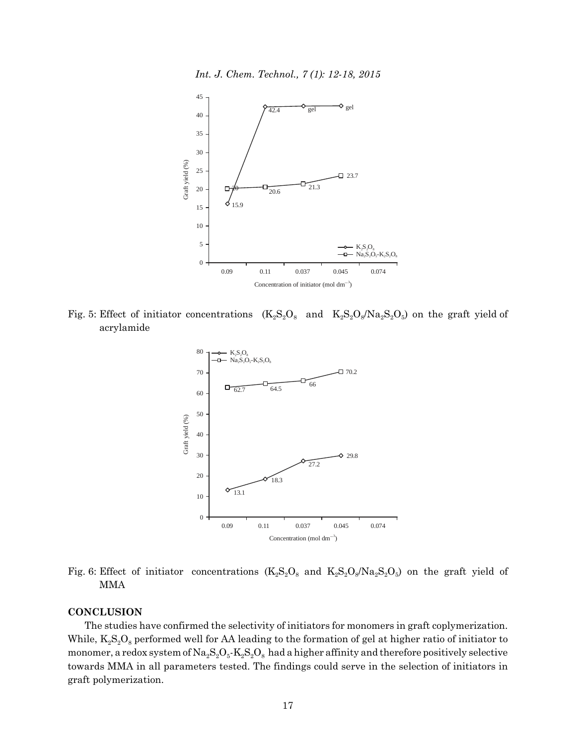*Int. J. Chem. Technol., 7 (1): 12-18, 2015*



Fig. 5: Effect of initiator concentrations  $(K_2S_2O_8$  and  $K_2S_2O_8/Na_2S_2O_5$  on the graft yield of acrylamide



Fig. 6: Effect of initiator concentrations  $(K_2S_2O_8$  and  $K_2S_2O_8/Na_2S_2O_5$ ) on the graft yield of MMA

# **CONCLUSION**

The studies have confirmed the selectivity of initiators for monomers in graft coplymerization. While,  $K_2S_2O_8$  performed well for AA leading to the formation of gel at higher ratio of initiator to monomer, a redox system of  $Na_2S_2O_5$ - $K_2S_2O_8$  had a higher affinity and therefore positively selective towards MMA in all parameters tested. The findings could serve in the selection of initiators in graft polymerization.